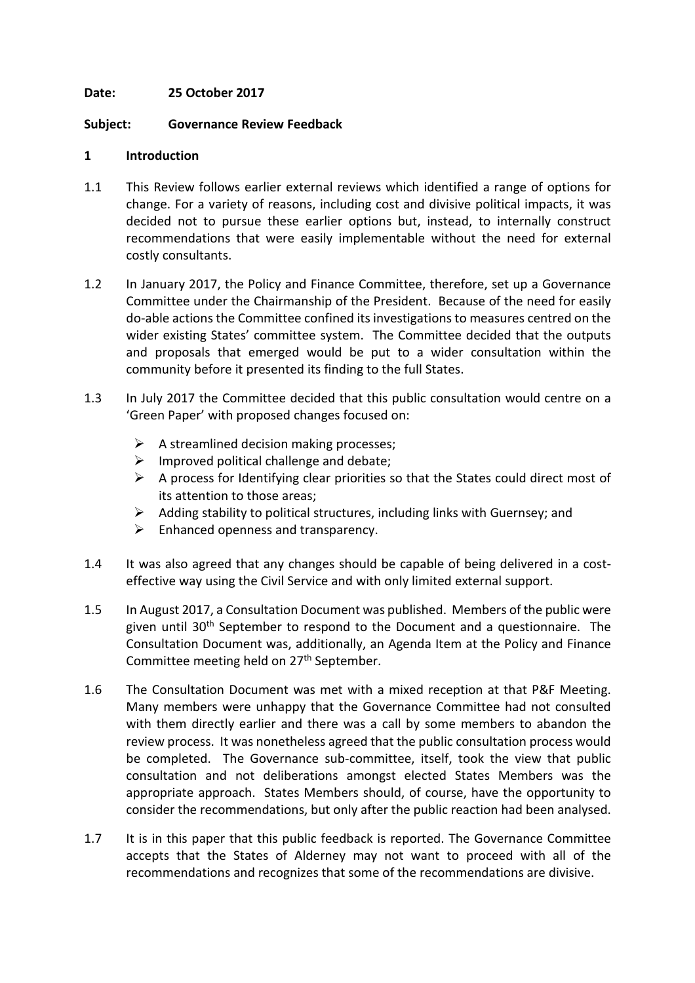#### **Date: 25 October 2017**

#### **Subject: Governance Review Feedback**

#### **1 Introduction**

- 1.1 This Review follows earlier external reviews which identified a range of options for change. For a variety of reasons, including cost and divisive political impacts, it was decided not to pursue these earlier options but, instead, to internally construct recommendations that were easily implementable without the need for external costly consultants.
- 1.2 In January 2017, the Policy and Finance Committee, therefore, set up a Governance Committee under the Chairmanship of the President. Because of the need for easily do-able actionsthe Committee confined its investigationsto measures centred on the wider existing States' committee system. The Committee decided that the outputs and proposals that emerged would be put to a wider consultation within the community before it presented its finding to the full States.
- 1.3 In July 2017 the Committee decided that this public consultation would centre on a 'Green Paper' with proposed changes focused on:
	- $\triangleright$  A streamlined decision making processes;
	- $\triangleright$  Improved political challenge and debate;
	- $\triangleright$  A process for Identifying clear priorities so that the States could direct most of its attention to those areas;
	- $\triangleright$  Adding stability to political structures, including links with Guernsey; and
	- $\triangleright$  Enhanced openness and transparency.
- 1.4 It was also agreed that any changes should be capable of being delivered in a costeffective way using the Civil Service and with only limited external support.
- 1.5 In August 2017, a Consultation Document was published. Members of the public were given until 30<sup>th</sup> September to respond to the Document and a questionnaire. The Consultation Document was, additionally, an Agenda Item at the Policy and Finance Committee meeting held on 27<sup>th</sup> September.
- 1.6 The Consultation Document was met with a mixed reception at that P&F Meeting. Many members were unhappy that the Governance Committee had not consulted with them directly earlier and there was a call by some members to abandon the review process. It was nonetheless agreed that the public consultation process would be completed. The Governance sub-committee, itself, took the view that public consultation and not deliberations amongst elected States Members was the appropriate approach. States Members should, of course, have the opportunity to consider the recommendations, but only after the public reaction had been analysed.
- 1.7 It is in this paper that this public feedback is reported. The Governance Committee accepts that the States of Alderney may not want to proceed with all of the recommendations and recognizes that some of the recommendations are divisive.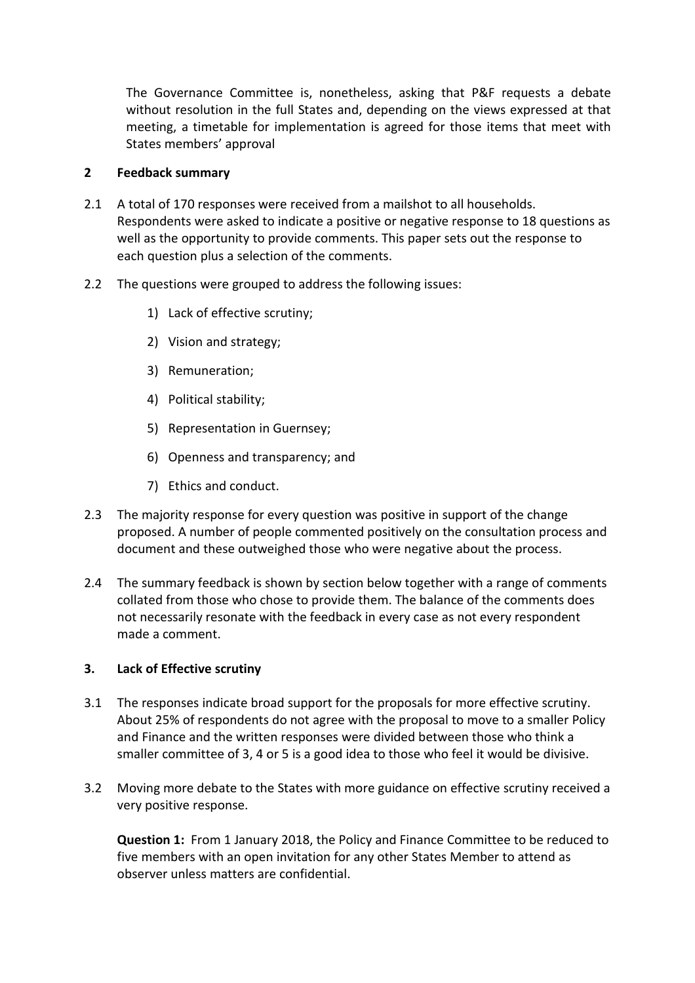The Governance Committee is, nonetheless, asking that P&F requests a debate without resolution in the full States and, depending on the views expressed at that meeting, a timetable for implementation is agreed for those items that meet with States members' approval

#### **2 Feedback summary**

- 2.1 A total of 170 responses were received from a mailshot to all households. Respondents were asked to indicate a positive or negative response to 18 questions as well as the opportunity to provide comments. This paper sets out the response to each question plus a selection of the comments.
- 2.2 The questions were grouped to address the following issues:
	- 1) Lack of effective scrutiny;
	- 2) Vision and strategy;
	- 3) Remuneration;
	- 4) Political stability;
	- 5) Representation in Guernsey;
	- 6) Openness and transparency; and
	- 7) Ethics and conduct.
- 2.3 The majority response for every question was positive in support of the change proposed. A number of people commented positively on the consultation process and document and these outweighed those who were negative about the process.
- 2.4 The summary feedback is shown by section below together with a range of comments collated from those who chose to provide them. The balance of the comments does not necessarily resonate with the feedback in every case as not every respondent made a comment.

#### **3. Lack of Effective scrutiny**

- 3.1 The responses indicate broad support for the proposals for more effective scrutiny. About 25% of respondents do not agree with the proposal to move to a smaller Policy and Finance and the written responses were divided between those who think a smaller committee of 3, 4 or 5 is a good idea to those who feel it would be divisive.
- 3.2 Moving more debate to the States with more guidance on effective scrutiny received a very positive response.

**Question 1:** From 1 January 2018, the Policy and Finance Committee to be reduced to five members with an open invitation for any other States Member to attend as observer unless matters are confidential.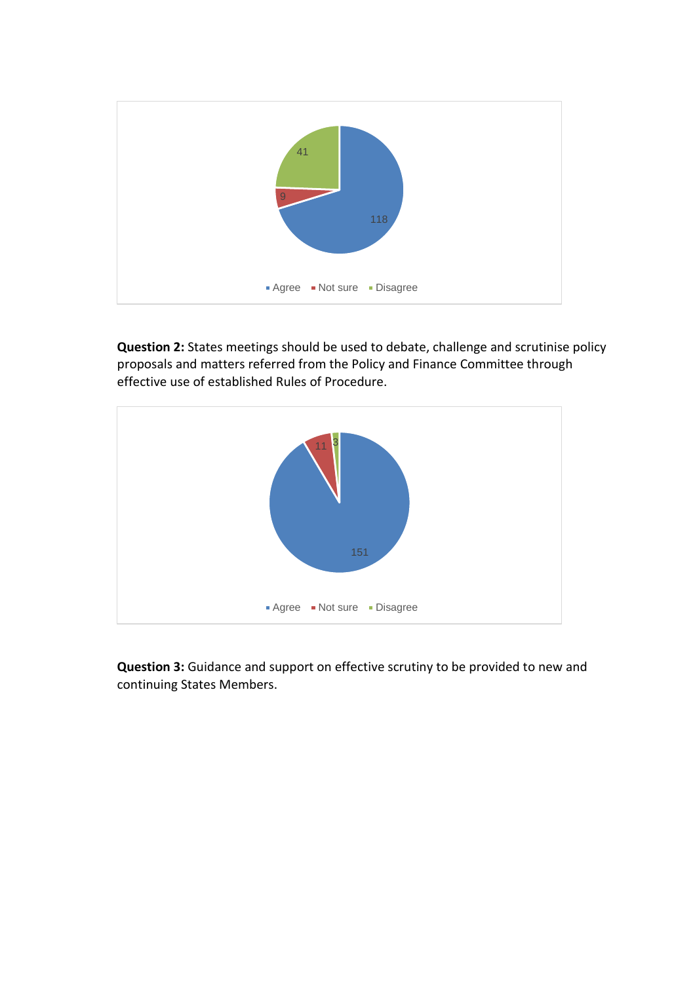

**Question 2:** States meetings should be used to debate, challenge and scrutinise policy proposals and matters referred from the Policy and Finance Committee through effective use of established Rules of Procedure.



**Question 3:** Guidance and support on effective scrutiny to be provided to new and continuing States Members.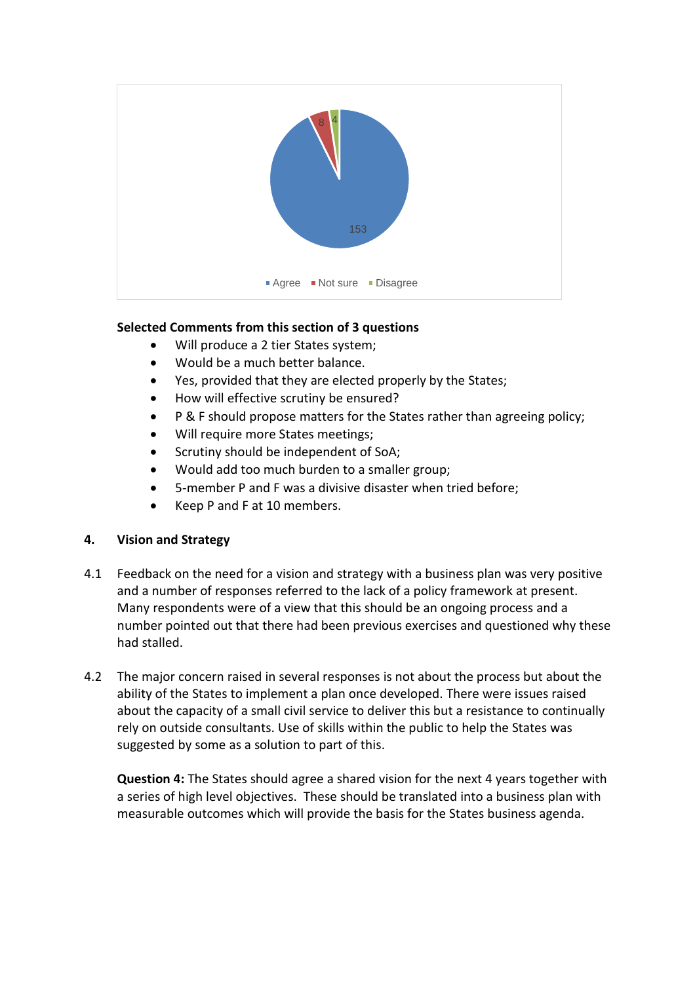

## **Selected Comments from this section of 3 questions**

- Will produce a 2 tier States system;
- Would be a much better balance.
- Yes, provided that they are elected properly by the States;
- How will effective scrutiny be ensured?
- P & F should propose matters for the States rather than agreeing policy;
- Will require more States meetings;
- Scrutiny should be independent of SoA;
- Would add too much burden to a smaller group;
- 5-member P and F was a divisive disaster when tried before;
- Keep P and F at 10 members.

## **4. Vision and Strategy**

- 4.1 Feedback on the need for a vision and strategy with a business plan was very positive and a number of responses referred to the lack of a policy framework at present. Many respondents were of a view that this should be an ongoing process and a number pointed out that there had been previous exercises and questioned why these had stalled.
- 4.2 The major concern raised in several responses is not about the process but about the ability of the States to implement a plan once developed. There were issues raised about the capacity of a small civil service to deliver this but a resistance to continually rely on outside consultants. Use of skills within the public to help the States was suggested by some as a solution to part of this.

**Question 4:** The States should agree a shared vision for the next 4 years together with a series of high level objectives. These should be translated into a business plan with measurable outcomes which will provide the basis for the States business agenda.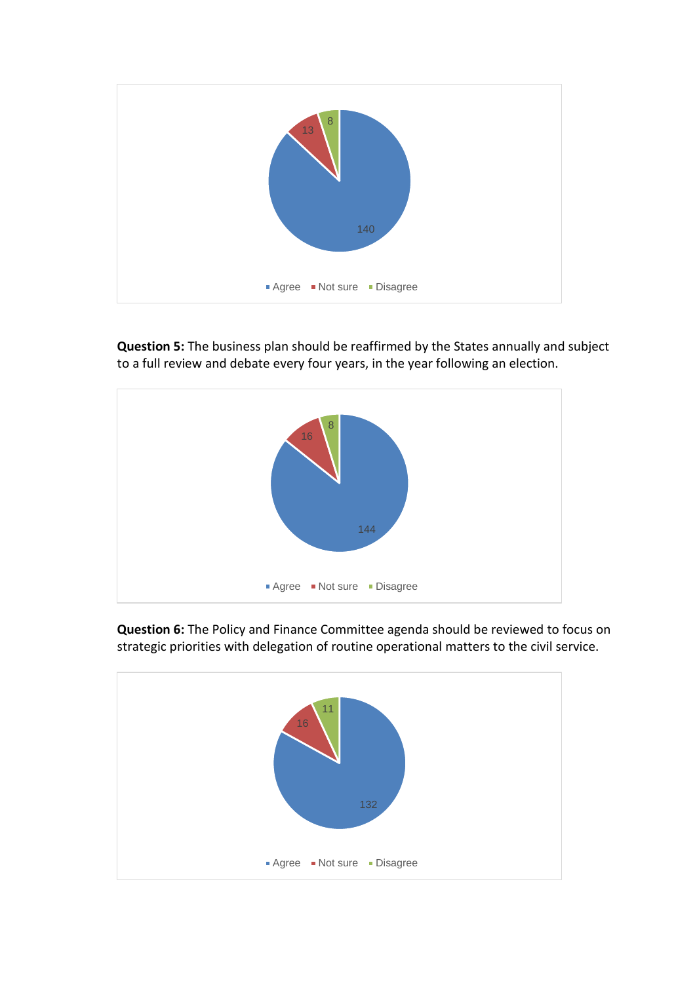

**Question 5:** The business plan should be reaffirmed by the States annually and subject to a full review and debate every four years, in the year following an election.



**Question 6:** The Policy and Finance Committee agenda should be reviewed to focus on strategic priorities with delegation of routine operational matters to the civil service.

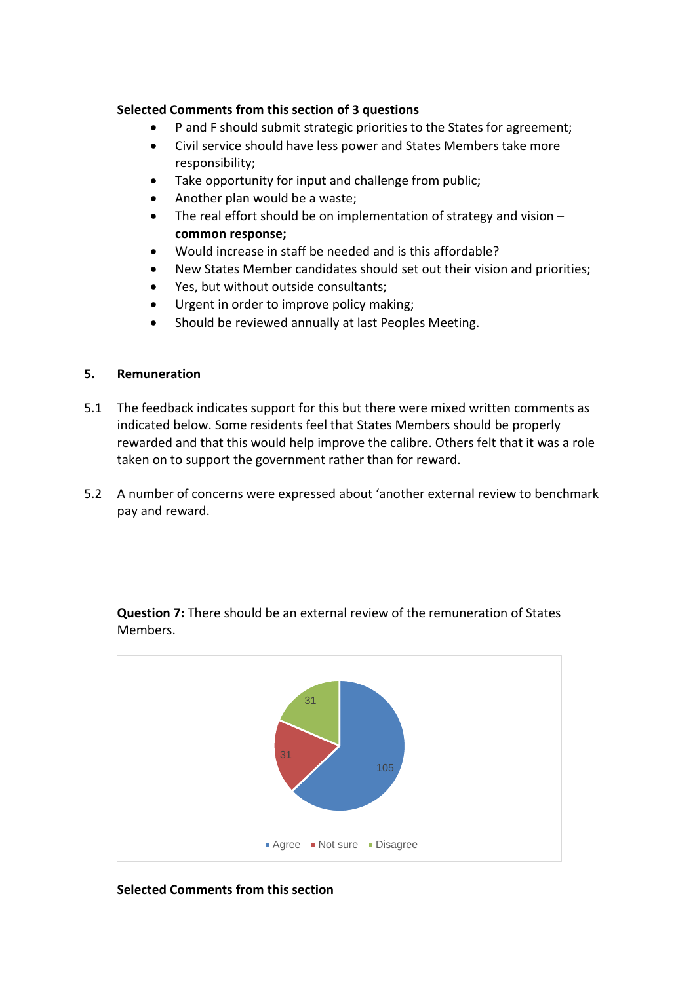### **Selected Comments from this section of 3 questions**

- P and F should submit strategic priorities to the States for agreement;
- Civil service should have less power and States Members take more responsibility;
- Take opportunity for input and challenge from public;
- Another plan would be a waste;
- The real effort should be on implementation of strategy and vision **common response;**
- Would increase in staff be needed and is this affordable?
- New States Member candidates should set out their vision and priorities;
- Yes, but without outside consultants;
- Urgent in order to improve policy making;
- Should be reviewed annually at last Peoples Meeting.

#### **5. Remuneration**

- 5.1 The feedback indicates support for this but there were mixed written comments as indicated below. Some residents feel that States Members should be properly rewarded and that this would help improve the calibre. Others felt that it was a role taken on to support the government rather than for reward.
- 5.2 A number of concerns were expressed about 'another external review to benchmark pay and reward.



**Question 7:** There should be an external review of the remuneration of States Members.

#### **Selected Comments from this section**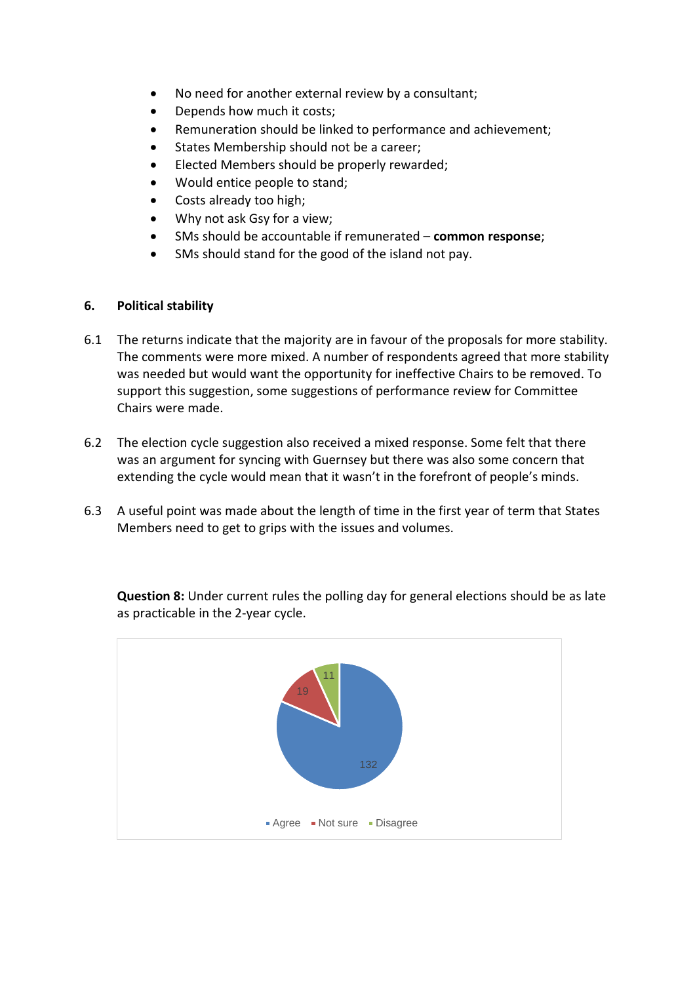- No need for another external review by a consultant;
- Depends how much it costs;
- Remuneration should be linked to performance and achievement;
- States Membership should not be a career;
- Elected Members should be properly rewarded;
- Would entice people to stand;
- Costs already too high;
- Why not ask Gsy for a view;
- SMs should be accountable if remunerated **common response**;
- SMs should stand for the good of the island not pay.

#### **6. Political stability**

- 6.1 The returns indicate that the majority are in favour of the proposals for more stability. The comments were more mixed. A number of respondents agreed that more stability was needed but would want the opportunity for ineffective Chairs to be removed. To support this suggestion, some suggestions of performance review for Committee Chairs were made.
- 6.2 The election cycle suggestion also received a mixed response. Some felt that there was an argument for syncing with Guernsey but there was also some concern that extending the cycle would mean that it wasn't in the forefront of people's minds.
- 6.3 A useful point was made about the length of time in the first year of term that States Members need to get to grips with the issues and volumes.



**Question 8:** Under current rules the polling day for general elections should be as late as practicable in the 2-year cycle.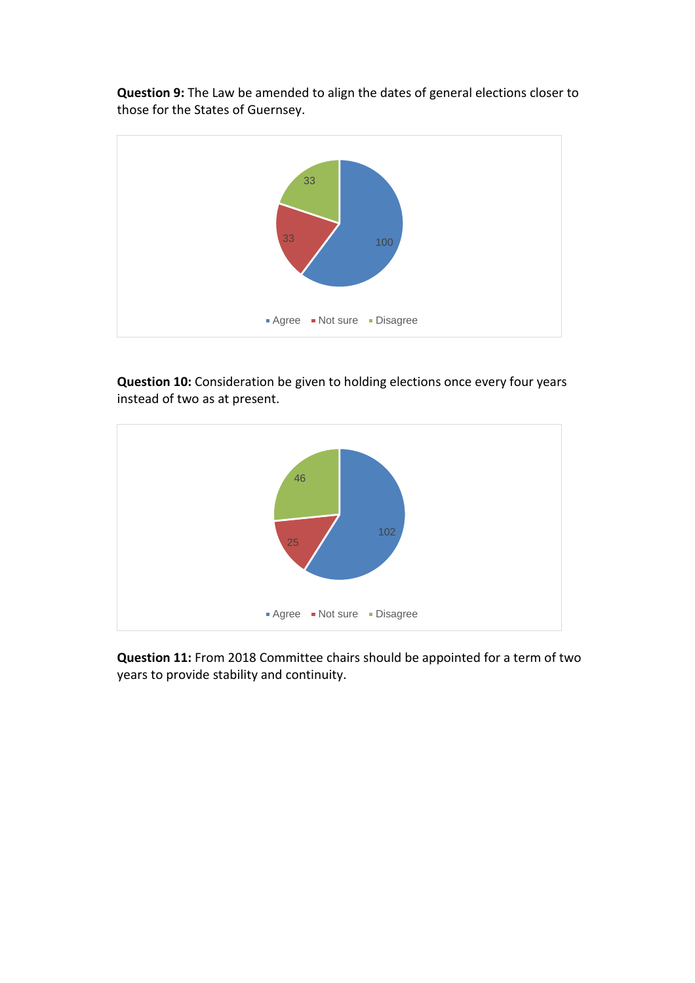**Question 9:** The Law be amended to align the dates of general elections closer to those for the States of Guernsey.



**Question 10:** Consideration be given to holding elections once every four years instead of two as at present.



**Question 11:** From 2018 Committee chairs should be appointed for a term of two years to provide stability and continuity.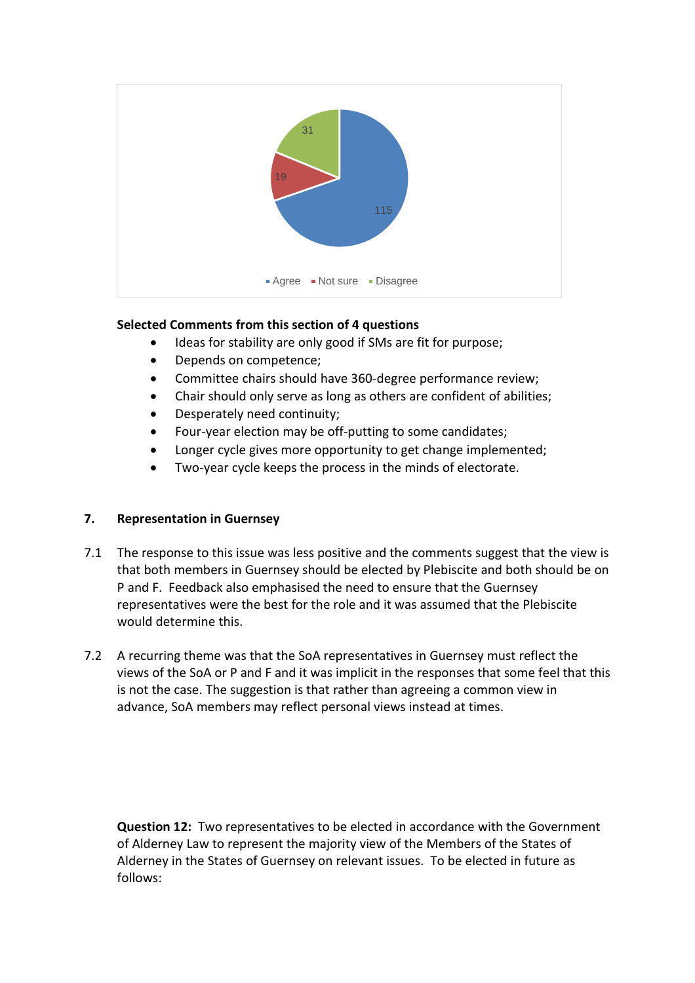

## **Selected Comments from this section of 4 questions**

- Ideas for stability are only good if SMs are fit for purpose;
- Depends on competence;
- Committee chairs should have 360-degree performance review;
- Chair should only serve as long as others are confident of abilities;
- Desperately need continuity;
- Four-year election may be off-putting to some candidates;
- Longer cycle gives more opportunity to get change implemented;
- Two-year cycle keeps the process in the minds of electorate.

## **7. Representation in Guernsey**

- 7.1 The response to this issue was less positive and the comments suggest that the view is that both members in Guernsey should be elected by Plebiscite and both should be on P and F. Feedback also emphasised the need to ensure that the Guernsey representatives were the best for the role and it was assumed that the Plebiscite would determine this.
- 7.2 A recurring theme was that the SoA representatives in Guernsey must reflect the views of the SoA or P and F and it was implicit in the responses that some feel that this is not the case. The suggestion is that rather than agreeing a common view in advance, SoA members may reflect personal views instead at times.

**Question 12:** Two representatives to be elected in accordance with the Government of Alderney Law to represent the majority view of the Members of the States of Alderney in the States of Guernsey on relevant issues. To be elected in future as follows: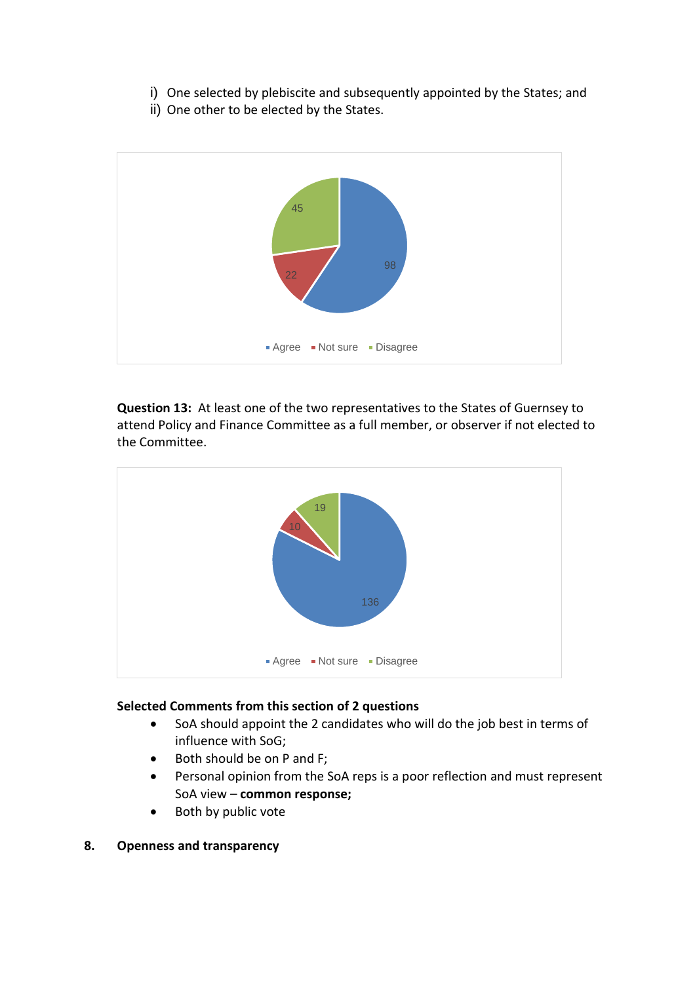- i) One selected by plebiscite and subsequently appointed by the States; and
- ii) One other to be elected by the States.



**Question 13:** At least one of the two representatives to the States of Guernsey to attend Policy and Finance Committee as a full member, or observer if not elected to the Committee.



## **Selected Comments from this section of 2 questions**

- SoA should appoint the 2 candidates who will do the job best in terms of influence with SoG;
- Both should be on P and F;
- Personal opinion from the SoA reps is a poor reflection and must represent SoA view – **common response;**
- Both by public vote
- **8. Openness and transparency**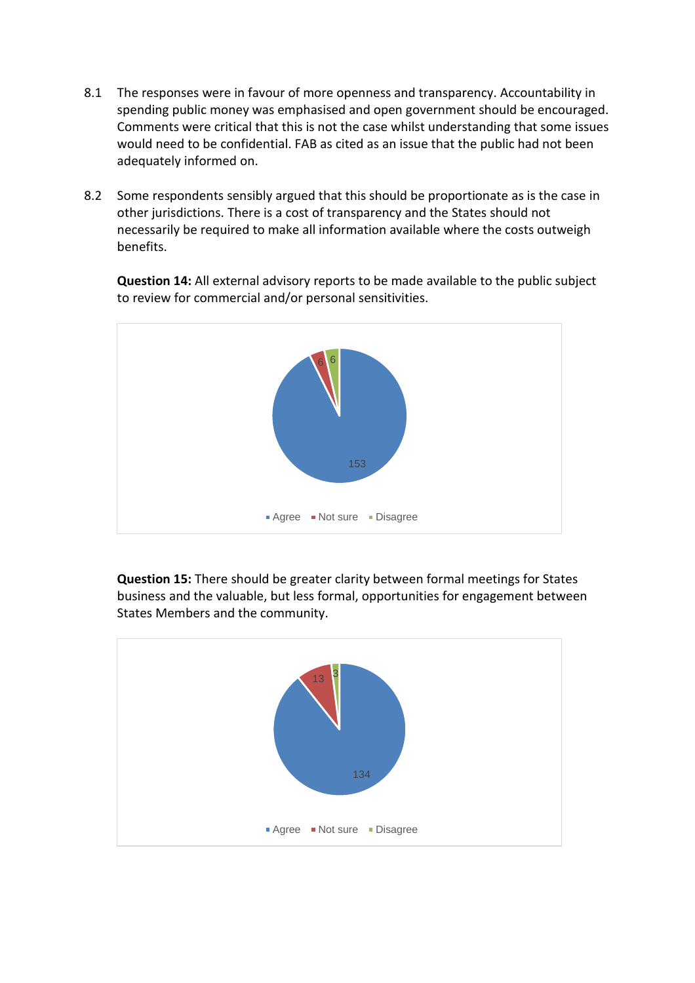- 8.1 The responses were in favour of more openness and transparency. Accountability in spending public money was emphasised and open government should be encouraged. Comments were critical that this is not the case whilst understanding that some issues would need to be confidential. FAB as cited as an issue that the public had not been adequately informed on.
- 8.2 Some respondents sensibly argued that this should be proportionate as is the case in other jurisdictions. There is a cost of transparency and the States should not necessarily be required to make all information available where the costs outweigh benefits.

**Question 14:** All external advisory reports to be made available to the public subject to review for commercial and/or personal sensitivities.



**Question 15:** There should be greater clarity between formal meetings for States business and the valuable, but less formal, opportunities for engagement between States Members and the community.

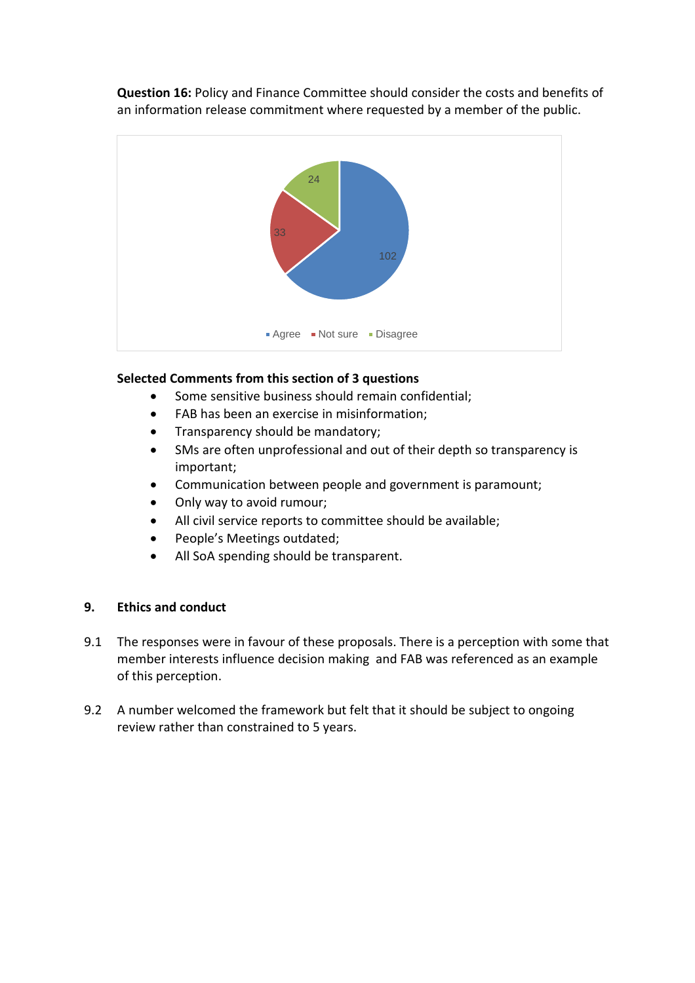**Question 16:** Policy and Finance Committee should consider the costs and benefits of an information release commitment where requested by a member of the public.



## **Selected Comments from this section of 3 questions**

- Some sensitive business should remain confidential;
- FAB has been an exercise in misinformation;
- Transparency should be mandatory;
- SMs are often unprofessional and out of their depth so transparency is important;
- Communication between people and government is paramount;
- Only way to avoid rumour;
- All civil service reports to committee should be available;
- People's Meetings outdated;
- All SoA spending should be transparent.

## **9. Ethics and conduct**

- 9.1 The responses were in favour of these proposals. There is a perception with some that member interests influence decision making and FAB was referenced as an example of this perception.
- 9.2 A number welcomed the framework but felt that it should be subject to ongoing review rather than constrained to 5 years.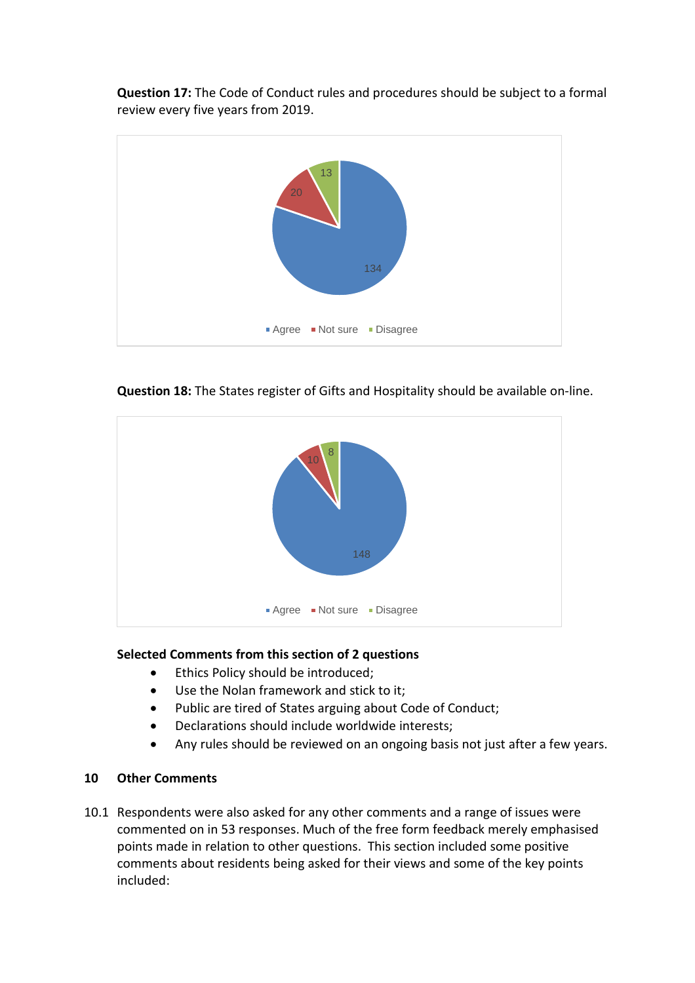**Question 17:** The Code of Conduct rules and procedures should be subject to a formal review every five years from 2019.





**Question 18:** The States register of Gifts and Hospitality should be available on-line.

## **Selected Comments from this section of 2 questions**

- **•** Ethics Policy should be introduced;
- Use the Nolan framework and stick to it;
- Public are tired of States arguing about Code of Conduct;
- Declarations should include worldwide interests;
- Any rules should be reviewed on an ongoing basis not just after a few years.

# **10 Other Comments**

10.1 Respondents were also asked for any other comments and a range of issues were commented on in 53 responses. Much of the free form feedback merely emphasised points made in relation to other questions. This section included some positive comments about residents being asked for their views and some of the key points included: